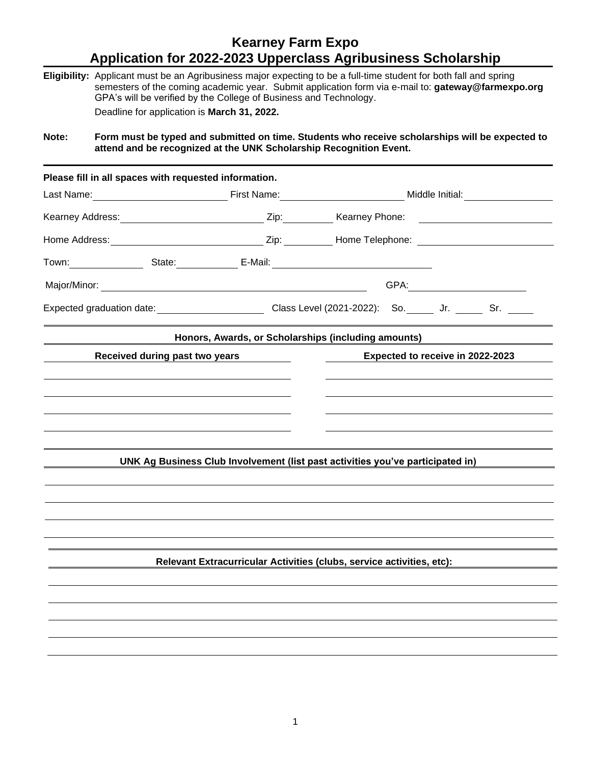## **Kearney Farm Expo Application for 2022-2023 Upperclass Agribusiness Scholarship**

**Eligibility:** Applicant must be an Agribusiness major expecting to be a full-time student for both fall and spring semesters of the coming academic year. Submit application form via e-mail to: **gateway@farmexpo.org** GPA's will be verified by the College of Business and Technology. Deadline for application is **March 31, 2022.**

**Note: Form must be typed and submitted on time. Students who receive scholarships will be expected to attend and be recognized at the UNK Scholarship Recognition Event.**

| Please fill in all spaces with requested information. |                                                                                                                |                                                                       |  |
|-------------------------------------------------------|----------------------------------------------------------------------------------------------------------------|-----------------------------------------------------------------------|--|
|                                                       |                                                                                                                | Last Name: <u>Name:</u> Eirst Name: Name: Name: Name: Niddle Initial: |  |
|                                                       | Kearney Address: Manual Address: Nearney Phone: 2ip: Nearney Phone: 2012                                       |                                                                       |  |
|                                                       |                                                                                                                |                                                                       |  |
|                                                       |                                                                                                                |                                                                       |  |
|                                                       |                                                                                                                |                                                                       |  |
|                                                       | Expected graduation date: _____________________________Class Level (2021-2022): So. ______ Jr. ______ Sr. ____ |                                                                       |  |
|                                                       | Honors, Awards, or Scholarships (including amounts)                                                            |                                                                       |  |
| Received during past two years                        |                                                                                                                | Expected to receive in 2022-2023                                      |  |
|                                                       |                                                                                                                |                                                                       |  |
|                                                       |                                                                                                                |                                                                       |  |
|                                                       |                                                                                                                |                                                                       |  |
|                                                       |                                                                                                                |                                                                       |  |
|                                                       |                                                                                                                |                                                                       |  |
|                                                       | UNK Ag Business Club Involvement (list past activities you've participated in)                                 |                                                                       |  |
|                                                       |                                                                                                                |                                                                       |  |
|                                                       |                                                                                                                |                                                                       |  |
|                                                       |                                                                                                                |                                                                       |  |
|                                                       |                                                                                                                |                                                                       |  |
|                                                       |                                                                                                                |                                                                       |  |
|                                                       |                                                                                                                |                                                                       |  |
|                                                       | Relevant Extracurricular Activities (clubs, service activities, etc):                                          |                                                                       |  |
|                                                       |                                                                                                                |                                                                       |  |
|                                                       |                                                                                                                |                                                                       |  |
|                                                       |                                                                                                                |                                                                       |  |
|                                                       |                                                                                                                |                                                                       |  |
|                                                       |                                                                                                                |                                                                       |  |
|                                                       |                                                                                                                |                                                                       |  |